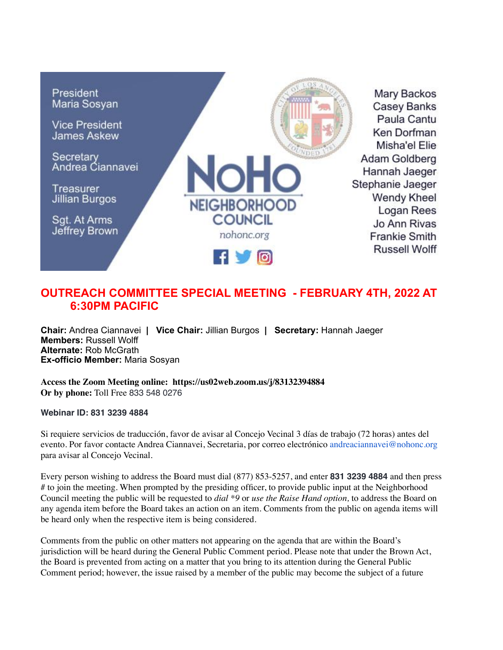

## **OUTREACH COMMITTEE SPECIAL MEETING - FEBRUARY 4TH, 2022 AT 6:30PM PACIFIC**

**Chair:** Andrea Ciannavei **| Vice Chair:** Jillian Burgos **| Secretary:** Hannah Jaeger **Members:** Russell Wolff **Alternate:** Rob McGrath **Ex-officio Member:** Maria Sosyan

**Access the Zoom Meeting online: https://us02web.zoom.us/j/83132394884 Or by phone:** Toll Free 833 548 0276

**Webinar ID: 831 3239 4884**

Si requiere servicios de traducción, favor de avisar al Concejo Vecinal 3 días de trabajo (72 horas) antes del evento. Por favor contacte Andrea Ciannavei, Secretaria, por correo electrónico andreaciannavei@nohonc.org para avisar al Concejo Vecinal.

Every person wishing to address the Board must dial (877) 853-5257, and enter **831 3239 4884** and then press # to join the meeting. When prompted by the presiding officer, to provide public input at the Neighborhood Council meeting the public will be requested to *dial \*9* or *use the Raise Hand option,* to address the Board on any agenda item before the Board takes an action on an item. Comments from the public on agenda items will be heard only when the respective item is being considered.

Comments from the public on other matters not appearing on the agenda that are within the Board's jurisdiction will be heard during the General Public Comment period. Please note that under the Brown Act, the Board is prevented from acting on a matter that you bring to its attention during the General Public Comment period; however, the issue raised by a member of the public may become the subject of a future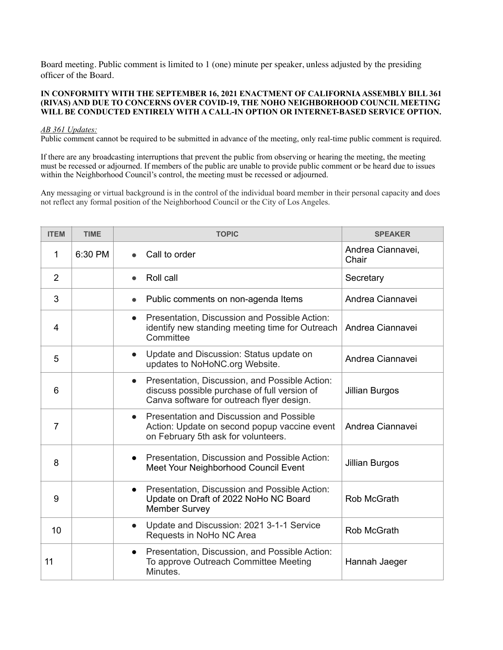Board meeting. Public comment is limited to 1 (one) minute per speaker, unless adjusted by the presiding officer of the Board.

## **IN CONFORMITY WITH THE SEPTEMBER 16, 2021 ENACTMENT OF CALIFORNIA ASSEMBLY BILL 361 (RIVAS) AND DUE TO CONCERNS OVER COVID-19, THE NOHO NEIGHBORHOOD COUNCIL MEETING WILL BE CONDUCTED ENTIRELY WITH A CALL-IN OPTION OR INTERNET-BASED SERVICE OPTION.**

## *AB 361 Updates:*

Public comment cannot be required to be submitted in advance of the meeting, only real-time public comment is required.

If there are any broadcasting interruptions that prevent the public from observing or hearing the meeting, the meeting must be recessed or adjourned. If members of the public are unable to provide public comment or be heard due to issues within the Neighborhood Council's control, the meeting must be recessed or adjourned.

Any messaging or virtual background is in the control of the individual board member in their personal capacity and does not reflect any formal position of the Neighborhood Council or the City of Los Angeles.

| <b>ITEM</b>    | <b>TIME</b> | <b>TOPIC</b>                                                                                                                                             | <b>SPEAKER</b>             |
|----------------|-------------|----------------------------------------------------------------------------------------------------------------------------------------------------------|----------------------------|
| 1              | 6:30 PM     | Call to order                                                                                                                                            | Andrea Ciannavei,<br>Chair |
| $\overline{2}$ |             | Roll call<br>$\bullet$                                                                                                                                   | Secretary                  |
| 3              |             | Public comments on non-agenda Items<br>$\bullet$                                                                                                         | Andrea Ciannavei           |
| 4              |             | Presentation, Discussion and Possible Action:<br>$\bullet$<br>identify new standing meeting time for Outreach<br>Committee                               | Andrea Ciannavei           |
| 5              |             | Update and Discussion: Status update on<br>$\bullet$<br>updates to NoHoNC.org Website.                                                                   | Andrea Ciannavei           |
| 6              |             | Presentation, Discussion, and Possible Action:<br>$\bullet$<br>discuss possible purchase of full version of<br>Canva software for outreach flyer design. | <b>Jillian Burgos</b>      |
| 7              |             | Presentation and Discussion and Possible<br>$\bullet$<br>Action: Update on second popup vaccine event<br>on February 5th ask for volunteers.             | Andrea Ciannavei           |
| 8              |             | Presentation, Discussion and Possible Action:<br>$\bullet$<br>Meet Your Neighborhood Council Event                                                       | <b>Jillian Burgos</b>      |
| 9              |             | Presentation, Discussion and Possible Action:<br>$\bullet$<br>Update on Draft of 2022 NoHo NC Board<br><b>Member Survey</b>                              | Rob McGrath                |
| 10             |             | Update and Discussion: 2021 3-1-1 Service<br>$\bullet$<br>Requests in NoHo NC Area                                                                       | Rob McGrath                |
| 11             |             | Presentation, Discussion, and Possible Action:<br>$\bullet$<br>To approve Outreach Committee Meeting<br>Minutes.                                         | Hannah Jaeger              |